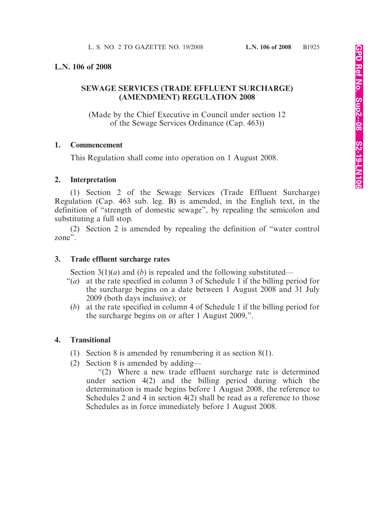### **L.N. 106 of 2008**

# **SEWAGE SERVICES (TRADE EFFLUENT SURCHARGE) (AMENDMENT) REGULATION 2008**

(Made by the Chief Executive in Council under section 12 of the Sewage Services Ordinance (Cap. 463))

### **1. Commencement**

This Regulation shall come into operation on 1 August 2008.

### **2. Interpretation**

(1) Section 2 of the Sewage Services (Trade Effluent Surcharge) Regulation (Cap. 463 sub. leg. B) is amended, in the English text, in the definition of "strength of domestic sewage", by repealing the semicolon and substituting a full stop.

(2) Section 2 is amended by repealing the definition of "water control zone".

### **3. Trade effluent surcharge rates**

Section 3(1)(*a*) and (*b*) is repealed and the following substituted—

- "(*a*) at the rate specified in column 3 of Schedule 1 if the billing period for the surcharge begins on a date between 1 August 2008 and 31 July 2009 (both days inclusive); or
	- (*b*) at the rate specified in column 4 of Schedule 1 if the billing period for the surcharge begins on or after 1 August 2009,".

## **4. Transitional**

- (1) Section 8 is amended by renumbering it as section 8(1).
- (2) Section 8 is amended by adding—

"(2) Where a new trade effluent surcharge rate is determined under section 4(2) and the billing period during which the determination is made begins before 1 August 2008, the reference to Schedules 2 and 4 in section 4(2) shall be read as a reference to those Schedules as in force immediately before 1 August 2008.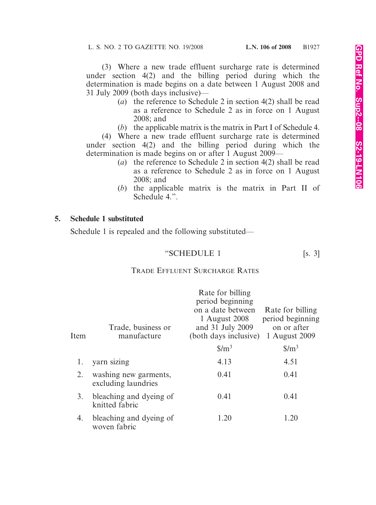(3) Where a new trade effluent surcharge rate is determined under section 4(2) and the billing period during which the determination is made begins on a date between 1 August 2008 and 31 July 2009 (both days inclusive)—

- (*a*) the reference to Schedule 2 in section 4(2) shall be read as a reference to Schedule 2 as in force on 1 August 2008; and
- (*b*) the applicable matrix is the matrix in Part I of Schedule 4.

(4) Where a new trade effluent surcharge rate is determined under section 4(2) and the billing period during which the determination is made begins on or after 1 August 2009—

- (*a*) the reference to Schedule 2 in section 4(2) shall be read as a reference to Schedule 2 as in force on 1 August 2008; and
- (*b*) the applicable matrix is the matrix in Part II of Schedule 4.".

### **5. Schedule 1 substituted**

Schedule 1 is repealed and the following substituted—

### "SCHEDULE 1 [s. 3]

### TRADE EFFLUENT SURCHARGE RATES

| Item | Trade, business or<br>manufacture            | Rate for billing<br>period beginning<br>on a date between<br>1 August 2008<br>and 31 July 2009<br>(both days inclusive)<br>$$/m^3$ | Rate for billing<br>period beginning<br>on or after<br>1 August 2009<br>$\frac{\mathrm{S}}{\mathrm{m}^3}$ |
|------|----------------------------------------------|------------------------------------------------------------------------------------------------------------------------------------|-----------------------------------------------------------------------------------------------------------|
| 1.   | yarn sizing                                  | 4.13                                                                                                                               | 4.51                                                                                                      |
| 2.   | washing new garments,<br>excluding laundries | 0.41                                                                                                                               | 0.41                                                                                                      |
| 3.   | bleaching and dyeing of<br>knitted fabric    | 0.41                                                                                                                               | 0.41                                                                                                      |
| 4.   | bleaching and dyeing of<br>woven fabric      | 1.20                                                                                                                               | 1.20                                                                                                      |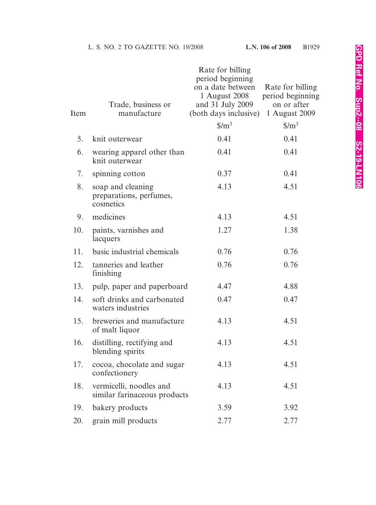| Item | Trade, business or<br>manufacture                         | Rate for billing<br>period beginning<br>on a date between<br>1 August 2008<br>and 31 July 2009<br>(both days inclusive) | Rate for billing<br>period beginning<br>on or after<br>1 August 2009 |
|------|-----------------------------------------------------------|-------------------------------------------------------------------------------------------------------------------------|----------------------------------------------------------------------|
|      |                                                           | $\frac{\mathrm{S}}{\mathrm{m}^3}$                                                                                       | $\frac{\mathrm{S}}{\mathrm{m}^3}$                                    |
| 5.   | knit outerwear                                            | 0.41                                                                                                                    | 0.41                                                                 |
| 6.   | wearing apparel other than<br>knit outerwear              | 0.41                                                                                                                    | 0.41                                                                 |
| 7.   | spinning cotton                                           | 0.37                                                                                                                    | 0.41                                                                 |
| 8.   | soap and cleaning<br>preparations, perfumes,<br>cosmetics | 4.13                                                                                                                    | 4.51                                                                 |
| 9.   | medicines                                                 | 4.13                                                                                                                    | 4.51                                                                 |
| 10.  | paints, varnishes and<br>lacquers                         | 1.27                                                                                                                    | 1.38                                                                 |
| 11.  | basic industrial chemicals                                | 0.76                                                                                                                    | 0.76                                                                 |
| 12.  | tanneries and leather<br>finishing                        | 0.76                                                                                                                    | 0.76                                                                 |
| 13.  | pulp, paper and paperboard                                | 4.47                                                                                                                    | 4.88                                                                 |
| 14.  | soft drinks and carbonated<br>waters industries           | 0.47                                                                                                                    | 0.47                                                                 |
| 15.  | breweries and manufacture<br>of malt liquor               | 4.13                                                                                                                    | 4.51                                                                 |
| 16.  | distilling, rectifying and<br>blending spirits            | 4.13                                                                                                                    | 4.51                                                                 |
| 17.  | cocoa, chocolate and sugar<br>confectionery               | 4.13                                                                                                                    | 4.51                                                                 |
| 18.  | vermicelli, noodles and<br>similar farinaceous products   | 4.13                                                                                                                    | 4.51                                                                 |
| 19.  | bakery products                                           | 3.59                                                                                                                    | 3.92                                                                 |
| 20.  | grain mill products                                       | 2.77                                                                                                                    | 2.77                                                                 |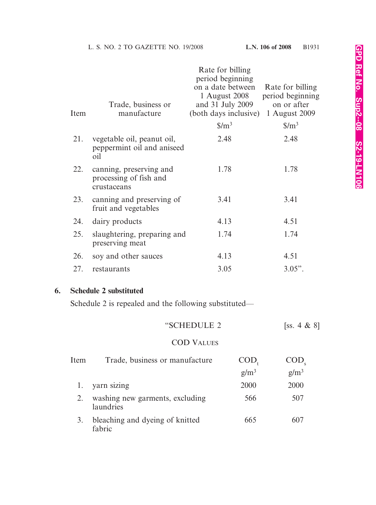|    | Item | Trade, business or<br>manufacture                                | Rate for billing<br>period beginning<br>on a date between<br>1 August 2008<br>and 31 July 2009<br>(both days inclusive) | Rate for billing<br>period beginning<br>on or after<br>1 August 2009 |
|----|------|------------------------------------------------------------------|-------------------------------------------------------------------------------------------------------------------------|----------------------------------------------------------------------|
|    |      |                                                                  | $\frac{\mathrm{S}}{\mathrm{m}^3}$                                                                                       | $\frac{\mathrm{S}}{\mathrm{m}^3}$                                    |
|    | 21.  | vegetable oil, peanut oil,<br>peppermint oil and aniseed<br>oil  | 2.48                                                                                                                    | 2.48                                                                 |
|    | 22.  | canning, preserving and<br>processing of fish and<br>crustaceans | 1.78                                                                                                                    | 1.78                                                                 |
|    | 23.  | canning and preserving of<br>fruit and vegetables                | 3.41                                                                                                                    | 3.41                                                                 |
|    | 24.  | dairy products                                                   | 4.13                                                                                                                    | 4.51                                                                 |
|    | 25.  | slaughtering, preparing and<br>preserving meat                   | 1.74                                                                                                                    | 1.74                                                                 |
|    | 26.  | soy and other sauces                                             | 4.13                                                                                                                    | 4.51                                                                 |
|    | 27.  | restaurants                                                      | 3.05                                                                                                                    | $3.05$ ".                                                            |
| 6. |      | <b>Schedule 2 substituted</b>                                    |                                                                                                                         |                                                                      |
|    |      | Schedule 2 is repealed and the following substituted—            |                                                                                                                         |                                                                      |
|    |      |                                                                  | "SCHEDULE 2                                                                                                             | [ss. 4 $\&$ 8]                                                       |

# COD VALUES

| Item | Trade, business or manufacture               | UOD,    | COD,    |
|------|----------------------------------------------|---------|---------|
|      |                                              | $g/m^3$ | $g/m^3$ |
|      | yarn sizing                                  | 2000    | 2000    |
|      | washing new garments, excluding<br>laundries | 566     | 507     |
|      | bleaching and dyeing of knitted<br>fabric    | 665     | 607     |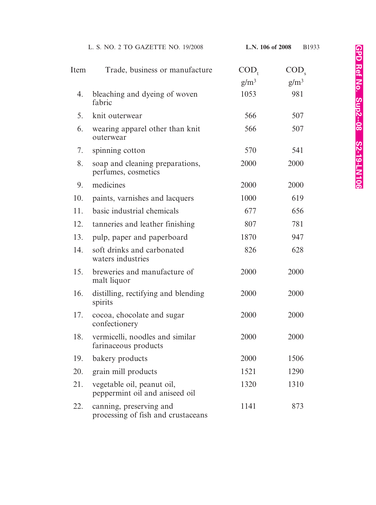|      | L. S. NO. 2 TO GAZETTE NO. 19/2008                            | L.N. 106 of 2008        | B1933          |
|------|---------------------------------------------------------------|-------------------------|----------------|
| Item | Trade, business or manufacture                                | $\text{COD}_{\text{t}}$ | $\text{COD}_s$ |
|      |                                                               | $g/m^3$                 | $g/m^3$        |
| 4.   | bleaching and dyeing of woven<br>fabric                       | 1053                    | 981            |
| 5.   | knit outerwear                                                | 566                     | 507            |
| 6.   | wearing apparel other than knit<br>outerwear                  | 566                     | 507            |
| 7.   | spinning cotton                                               | 570                     | 541            |
| 8.   | soap and cleaning preparations,<br>perfumes, cosmetics        | 2000                    | 2000           |
| 9.   | medicines                                                     | 2000                    | 2000           |
| 10.  | paints, varnishes and lacquers                                | 1000                    | 619            |
| 11.  | basic industrial chemicals                                    | 677                     | 656            |
| 12.  | tanneries and leather finishing                               | 807                     | 781            |
| 13.  | pulp, paper and paperboard                                    | 1870                    | 947            |
| 14.  | soft drinks and carbonated<br>waters industries               | 826                     | 628            |
| 15.  | breweries and manufacture of<br>malt liquor                   | 2000                    | 2000           |
|      | 16. distilling, rectifying and blending<br>spirits            | 2000                    | 2000           |
| 17.  | cocoa, chocolate and sugar<br>confectionery                   | 2000                    | 2000           |
| 18.  | vermicelli, noodles and similar<br>farinaceous products       | 2000                    | 2000           |
| 19.  | bakery products                                               | 2000                    | 1506           |
| 20.  | grain mill products                                           | 1521                    | 1290           |
| 21.  | vegetable oil, peanut oil,<br>peppermint oil and aniseed oil  | 1320                    | 1310           |
| 22.  | canning, preserving and<br>processing of fish and crustaceans | 1141                    | 873            |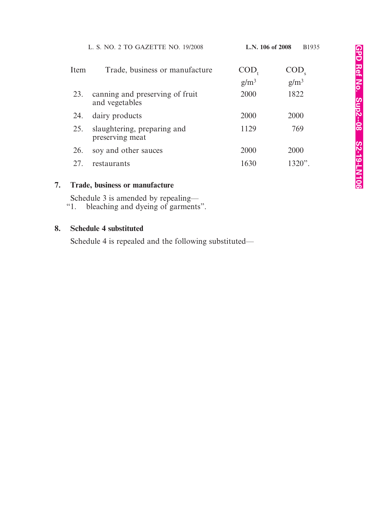| Item | Trade, business or manufacture                    | COD,    |         |
|------|---------------------------------------------------|---------|---------|
|      |                                                   | $g/m^3$ | $g/m^3$ |
| 23.  | canning and preserving of fruit<br>and vegetables | 2000    | 1822    |
| 24.  | dairy products                                    | 2000    | 2000    |
| 25.  | slaughtering, preparing and<br>preserving meat    | 1129    | 769     |
| 26.  | soy and other sauces                              | 2000    | 2000    |
|      | restaurants                                       | 1630    | 1320"   |

# **7. Trade, business or manufacture**

Schedule 3 is amended by repealing—<br>"1. bleaching and dyeing of garments

bleaching and dyeing of garments".

# **8. Schedule 4 substituted**

Schedule 4 is repealed and the following substituted—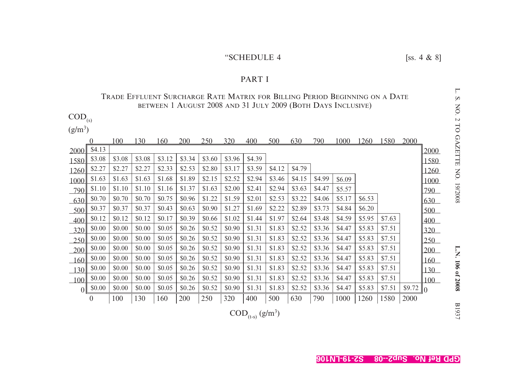# "SCHEDULE 4 [ss. 4  $\&$  8]

#### PART I

# Trade Effluent Surcharge Rate Matrix for Billing Period Beginning on a Date BETWEEN 1 AUGUST 2008 AND 31 JULY 2009 (BOTH DAYS INCLUSIVE)

 $\mathrm{COD}_{\mathrm{(s)}}$ 

 $(g/m^3)$ 

|                |          | 100    | 130    | 160    | 200    | 250    | 320    | 400    | 500    | 630    | 790    | 1000   | 1260   | 1580   | 2000   |            |
|----------------|----------|--------|--------|--------|--------|--------|--------|--------|--------|--------|--------|--------|--------|--------|--------|------------|
| 2000           | \$4.13   |        |        |        |        |        |        |        |        |        |        |        |        |        |        | 2000       |
| 1580           | \$3.08   | \$3.08 | \$3.08 | \$3.12 | \$3.34 | \$3.60 | \$3.96 | \$4.39 |        |        |        |        |        |        |        | 1580       |
| 1260           | \$2.27   | \$2.27 | \$2.27 | \$2.33 | \$2.53 | \$2.80 | \$3.17 | \$3.59 | \$4.12 | \$4.79 |        |        |        |        |        | 1260       |
| 1000           | \$1.63   | \$1.63 | \$1.63 | \$1.68 | \$1.89 | \$2.15 | \$2.52 | \$2.94 | \$3.46 | \$4.15 | \$4.99 | \$6.09 |        |        |        | 1000       |
| 790            | \$1.10   | \$1.10 | \$1.10 | \$1.16 | \$1.37 | \$1.63 | \$2.00 | \$2.41 | \$2.94 | \$3.63 | \$4.47 | \$5.57 |        |        |        | 790        |
| 630            | \$0.70   | \$0.70 | \$0.70 | \$0.75 | \$0.96 | \$1.22 | \$1.59 | \$2.01 | \$2.53 | \$3.22 | \$4.06 | \$5.17 | \$6.53 |        |        | 630        |
| 500            | \$0.37   | \$0.37 | \$0.37 | \$0.43 | \$0.63 | \$0.90 | \$1.27 | \$1.69 | \$2.22 | \$2.89 | \$3.73 | \$4.84 | \$6.20 |        |        | 500        |
| 400            | \$0.12   | \$0.12 | \$0.12 | \$0.17 | \$0.39 | \$0.66 | \$1.02 | \$1.44 | \$1.97 | \$2.64 | \$3.48 | \$4.59 | \$5.95 | \$7.63 |        | 400        |
| 320            | \$0.00   | \$0.00 | \$0.00 | \$0.05 | \$0.26 | \$0.52 | \$0.90 | \$1.31 | \$1.83 | \$2.52 | \$3.36 | \$4.47 | \$5.83 | \$7.51 |        | 320        |
| 250            | \$0.00   | \$0.00 | \$0.00 | \$0.05 | \$0.26 | \$0.52 | \$0.90 | \$1.31 | \$1.83 | \$2.52 | \$3.36 | \$4.47 | \$5.83 | \$7.51 |        | 250        |
| 200            | \$0.00   | \$0.00 | \$0.00 | \$0.05 | \$0.26 | \$0.52 | \$0.90 | \$1.31 | \$1.83 | \$2.52 | \$3.36 | \$4.47 | \$5.83 | \$7.51 |        | 200        |
| 160            | \$0.00   | \$0.00 | \$0.00 | \$0.05 | \$0.26 | \$0.52 | \$0.90 | \$1.31 | \$1.83 | \$2.52 | \$3.36 | \$4.47 | \$5.83 | \$7.51 |        | <u>160</u> |
| 30             | \$0.00   | \$0.00 | \$0.00 | \$0.05 | \$0.26 | \$0.52 | \$0.90 | \$1.31 | \$1.83 | \$2.52 | \$3.36 | \$4.47 | \$5.83 | \$7.51 |        | 130        |
| 100            | \$0.00   | \$0.00 | \$0.00 | \$0.05 | \$0.26 | \$0.52 | \$0.90 | \$1.31 | \$1.83 | \$2.52 | \$3.36 | \$4.47 | \$5.83 | \$7.51 |        | 100        |
| 0 <sup>1</sup> | \$0.00   | \$0.00 | \$0.00 | \$0.05 | \$0.26 | \$0.52 | \$0.90 | \$1.31 | \$1.83 | \$2.52 | \$3.36 | \$4.47 | \$5.83 | \$7.51 | \$9.72 | $\theta$   |
|                | $\theta$ | 100    | 130    | 160    | 200    | 250    | 320    | 400    | 500    | 630    | 790    | 1000   | 1260   | 1580   | 2000   |            |

 $\mathrm{COD}_{\text{(t-s)}} \, (\text{g/m}^3)$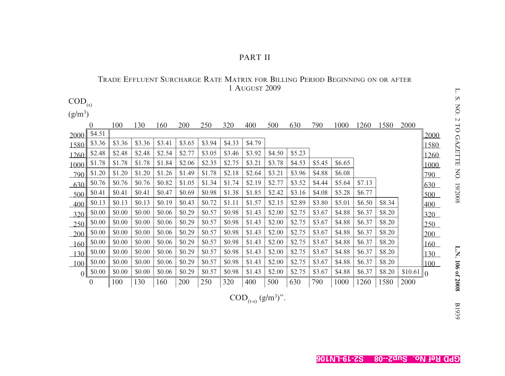| $\mathrm{COD}_{\text{\tiny (S)}}$ |          |            |        |        |        |        |            |        |            |        |        |             |             |        |         |                |
|-----------------------------------|----------|------------|--------|--------|--------|--------|------------|--------|------------|--------|--------|-------------|-------------|--------|---------|----------------|
| $(g/m^3)$                         |          |            |        |        |        |        |            |        |            |        |        |             |             |        |         |                |
|                                   | <u>0</u> | <b>100</b> | 130    | 160    | 200    | 250    | <u>320</u> | 400    | <u>500</u> | 630    | 790    | <u>1000</u> | <u>1260</u> | 1580   | 2000    |                |
| 2000                              | \$4.51   |            |        |        |        |        |            |        |            |        |        |             |             |        |         | 2000           |
| 1580                              | \$3.36   | \$3.36     | \$3.36 | \$3.41 | \$3.65 | \$3.94 | \$4.33     | \$4.79 |            |        |        |             |             |        |         | 1580           |
| 1260                              | \$2.48   | \$2.48     | \$2.48 | \$2.54 | \$2.77 | \$3.05 | \$3.46     | \$3.92 | \$4.50     | \$5.23 |        |             |             |        |         | 1260           |
| 1000                              | \$1.78   | \$1.78     | \$1.78 | \$1.84 | \$2.06 | \$2.35 | \$2.75     | \$3.21 | \$3.78     | \$4.53 | \$5.45 | \$6.65      |             |        |         | 1000           |
| 790                               | \$1.20   | \$1.20     | \$1.20 | \$1.26 | \$1.49 | \$1.78 | \$2.18     | \$2.64 | \$3.21     | \$3.96 | \$4.88 | \$6.08      |             |        |         | 790            |
| 630                               | \$0.76   | \$0.76     | \$0.76 | \$0.82 | \$1.05 | \$1.34 | \$1.74     | \$2.19 | \$2.77     | \$3.52 | \$4.44 | \$5.64      | \$7.13      |        |         | 630            |
| 500                               | \$0.41   | \$0.41     | \$0.41 | \$0.47 | \$0.69 | \$0.98 | \$1.38     | \$1.85 | \$2.42     | \$3.16 | \$4.08 | \$5.28      | \$6.77      |        |         | 500            |
| $-400$                            | \$0.13   | \$0.13     | \$0.13 | \$0.19 | \$0.43 | \$0.72 | \$1.11     | \$1.57 | \$2.15     | \$2.89 | \$3.80 | \$5.01      | \$6.50      | \$8.34 |         | 400            |
| $-320$                            | \$0.00   | \$0.00     | \$0.00 | \$0.06 | \$0.29 | \$0.57 | \$0.98     | \$1.43 | \$2.00     | \$2.75 | \$3.67 | \$4.88      | \$6.37      | \$8.20 |         | 320            |
| 250                               | \$0.00   | \$0.00     | \$0.00 | \$0.06 | \$0.29 | \$0.57 | \$0.98     | \$1.43 | \$2.00     | \$2.75 | \$3.67 | \$4.88      | \$6.37      | \$8.20 |         | 250            |
| 200                               | \$0.00   | \$0.00     | \$0.00 | \$0.06 | \$0.29 | \$0.57 | \$0.98     | \$1.43 | \$2.00     | \$2.75 | \$3.67 | \$4.88      | \$6.37      | \$8.20 |         | 200            |
| 160                               | \$0.00   | \$0.00     | \$0.00 | \$0.06 | \$0.29 | \$0.57 | \$0.98     | \$1.43 | \$2.00     | \$2.75 | \$3.67 | \$4.88      | \$6.37      | \$8.20 |         | 160            |
| 130                               | \$0.00   | \$0.00     | \$0.00 | \$0.06 | \$0.29 | \$0.57 | \$0.98     | \$1.43 | \$2.00     | \$2.75 | \$3.67 | \$4.88      | \$6.37      | \$8.20 |         | 130            |
| 100                               | \$0.00   | \$0.00     | \$0.00 | \$0.06 | \$0.29 | \$0.57 | \$0.98     | \$1.43 | \$2.00     | \$2.75 | \$3.67 | \$4.88      | \$6.37      | \$8.20 |         | 100            |
| 0                                 | \$0.00   | \$0.00     | \$0.00 | \$0.06 | \$0.29 | \$0.57 | \$0.98     | \$1.43 | \$2.00     | \$2.75 | \$3.67 | \$4.88      | \$6.37      | \$8.20 | \$10.61 | $\mathbb{I}_0$ |
|                                   | $\theta$ | 100        | 130    | 160    | 200    | 250    | 320        | 400    | 500        | 630    | 790    | 1000        | 1260        | 1580   | 2000    |                |

### TRADE EFFLUENT SURCHARGE RATE MATRIX FOR BILLING PERIOD BEGINNING ON OR AFTER 1 AUGUST 2009

 $\mathrm{COD}_{\text{(t-s)}} \, (\text{g/m}^3)$ ".

L. S. NO. 2 TO GAZETTE NO. 19/2008 L. S. NO. 2 TO GAZETTE NO. 19/2008 L.N. 106 of 2008 B1939

PART II